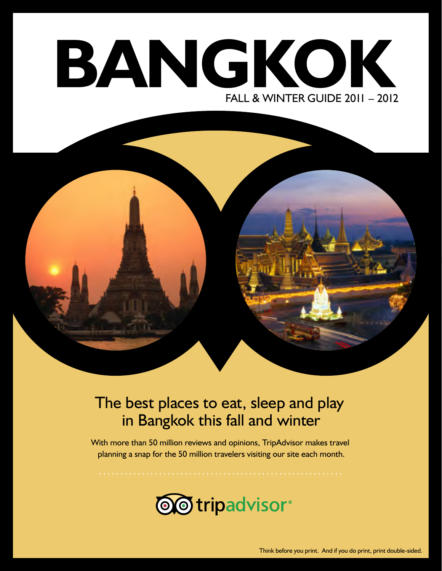# **BANGKOK** FALL & WINTER GUIDE 2011 – 2012



#### The best places to eat, sleep and play in Bangkok this fall and winter

With more than 50 million reviews and opinions, TripAdvisor makes travel planning a snap for the 50 million travelers visiting our site each month.

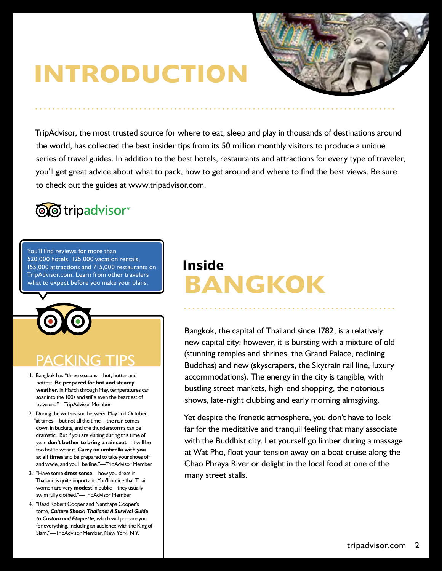# **INTRODUCTION**



TripAdvisor, the most trusted source for where to eat, sleep and play in thousands of destinations around the world, has collected the best insider tips from its 50 million monthly visitors to produce a unique series of travel guides. In addition to the best hotels, restaurants and attractions for every type of traveler, you'll get great advice about what to pack, how to get around and where to find the best views. Be sure to check out the guides at www.tripadvisor.com.



You'll find reviews for more than 520,000 hotels, 125,000 vacation rentals, 155,000 attractions and 715,000 restaurants on TripAdvisor.com. Learn from other travelers what to expect before you make your plans.

## PACKING T

- 1. Bangkok has "three seasons—hot, hotter and hottest. **Be prepared for hot and steamy weather.** In March through May, temperatures can soar into the 100s and stifle even the heartiest of travelers."—TripAdvisor Member
- 2. During the wet season between May and October, "at times—but not all the time—the rain comes down in buckets, and the thunderstorms can be dramatic. But if you are visiting during this time of year, **don't bother to bring a raincoat**—it will be too hot to wear it. **Carry an umbrella with you at all times** and be prepared to take your shoes off and wade, and you'll be fine."—TripAdvisor Member
- 3. "Have some **dress sense**—how you dress in Thailand is quite important. You'll notice that Thai women are very **modest** in public—they usually swim fully clothed."—TripAdvisor Member
- 4. "Read Robert Cooper and Nanthapa Cooper's tome, *Culture Shock! Thailand: A Survival Guide to Custom and Etiquette*, which will prepare you for everything, including an audience with the King of Siam."—TripAdvisor Member, New York, N.Y.

### **Inside BANGKOK**

Bangkok, the capital of Thailand since 1782, is a relatively new capital city; however, it is bursting with a mixture of old (stunning temples and shrines, the Grand Palace, reclining Buddhas) and new (skyscrapers, the Skytrain rail line, luxury accommodations). The energy in the city is tangible, with bustling street markets, high-end shopping, the notorious shows, late-night clubbing and early morning almsgiving.

Yet despite the frenetic atmosphere, you don't have to look far for the meditative and tranquil feeling that many associate with the Buddhist city. Let yourself go limber during a massage at Wat Pho, float your tension away on a boat cruise along the Chao Phraya River or delight in the local food at one of the many street stalls.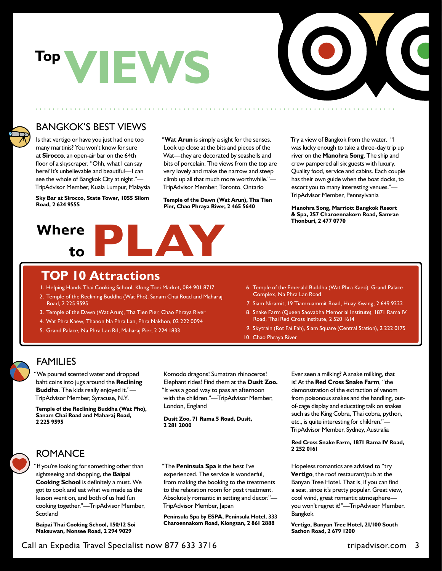# **VIEWS Top**



#### BANGKOK'S BEST VIEWS

Is that vertigo or have you just had one too many martinis? You won't know for sure at **Sirocco**, an open-air bar on the 64th floor of a skyscraper. "Ohh, what I can say here? It's unbelievable and beautiful—I can see the whole of Bangkok City at night."— TripAdvisor Member, Kuala Lumpur, Malaysia

**Sky Bar at Sirocco, State Tower, 1055 Silom Road, 2 624 9555**

"**Wat Arun** is simply a sight for the senses. Look up close at the bits and pieces of the Wat—they are decorated by seashells and bits of porcelain. The views from the top are very lovely and make the narrow and steep climb up all that much more worthwhile."— TripAdvisor Member, Toronto, Ontario

**Temple of the Dawn (Wat Arun), Tha Tien Pier, Chao Phraya River, 2 465 5640**

## **Where to PLAY**

Try a view of Bangkok from the water. "I was lucky enough to take a three-day trip up river on the **Manohra Song**. The ship and crew pampered all six guests with luxury. Quality food, service and cabins. Each couple has their own guide when the boat docks, to escort you to many interesting venues."— TripAdvisor Member, Pennsylvania

**Manohra Song, Marriott Bangkok Resort & Spa, 257 Charoennakorn Road, Samrae Thonburi, 2 477 0770**

#### **TOP 10 Attractions**

- 1. Helping Hands Thai Cooking School, Klong Toei Market, 084 901 8717
- 2. Temple of the Reclining Buddha (Wat Pho), Sanam Chai Road and Maharaj Road, 2 225 9595
- 3. Temple of the Dawn (Wat Arun), Tha Tien Pier, Chao Phraya River
- 4. Wat Phra Kaew, Thanon Na Phra Lan, Phra Nakhon, 02 222 0094
- 5. Grand Palace, Na Phra Lan Rd, Maharaj Pier, 2 224 1833
- 6. Temple of the Emerald Buddha (Wat Phra Kaeo), Grand Palace Complex, Na Phra Lan Road
- 7. Siam Niramit, 19 Tiamruammit Road, Huay Kwang, 2 649 9222
- 8. Snake Farm (Queen Saovabha Memorial Institute), 1871 Rama IV Road, Thai Red Cross Institute, 2 520 1614
- 9. Skytrain (Rot Fai Fah), Siam Square (Central Station), 2 222 0175
- 10. Chao Phraya River

#### FAMILIES

"We poured scented water and dropped baht coins into jugs around the **Reclining Buddha**. The kids really enjoyed it."— TripAdvisor Member, Syracuse, N.Y.

**Temple of the Reclining Buddha (Wat Pho), Sanam Chai Road and Maharaj Road, 2 225 9595**

Komodo dragons! Sumatran rhinoceros! Elephant rides! Find them at the **Dusit Zoo.**  "It was a good way to pass an afternoon with the children."—TripAdvisor Member, London, England

**Dusit Zoo, 71 Rama 5 Road, Dusit, 2 281 2000**

#### **<sup>2</sup> <sup>252</sup> <sup>0161</sup>** ROMANCE

"If you're looking for something other than sightseeing and shopping, the **Baipai Cooking School** is definitely a must. We got to cook and eat what we made as the lesson went on, and both of us had fun cooking together."—TripAdvisor Member, Scotland

**Baipai Thai Cooking School, 150/12 Soi Naksuwan, Nonsee Road, 2 294 9029**

"The **Peninsula Spa** is the best I've experienced. The service is wonderful, from making the booking to the treatments to the relaxation room for post treatment. Absolutely romantic in setting and decor."— TripAdvisor Member, Japan

**Peninsula Spa by ESPA, Peninsula Hotel, 333 Charoennakom Road, Klongsan, 2 861 2888**

Ever seen a milking? A snake milking, that is! At the **Red Cross Snake Farm**, "the demonstration of the extraction of venom from poisonous snakes and the handling, outof-cage display and educating talk on snakes such as the King Cobra, Thai cobra, python, etc., is quite interesting for children."— TripAdvisor Member, Sydney, Australia

#### **Red Cross Snake Farm, 1871 Rama IV Road,**

Hopeless romantics are advised to "try **Vertigo**, the roof restaurant/pub at the Banyan Tree Hotel. That is, if you can find a seat, since it's pretty popular. Great view, cool wind, great romantic atmosphere you won't regret it!"—TripAdvisor Member, Bangkok

**Vertigo, Banyan Tree Hotel, 21/100 South Sathon Road, 2 679 1200**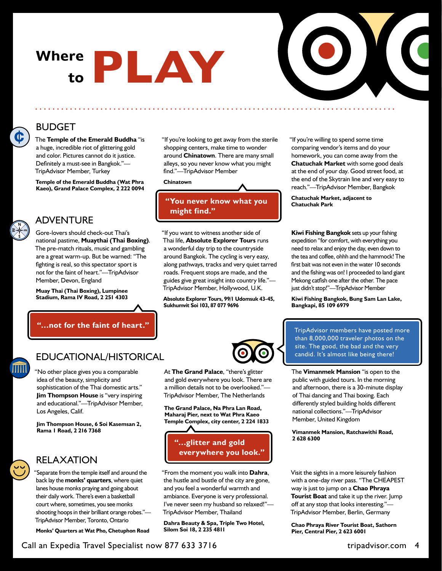# **Where to PLAY**



#### BUDGET

The **Temple of the Emerald Buddha** "is a huge, incredible riot of glittering gold and color. Pictures cannot do it justice. Definitely a must-see in Bangkok."— TripAdvisor Member, Turkey

**Temple of the Emerald Buddha (Wat Phra Kaeo), Grand Palace Complex, 2 222 0094**

#### ADVENTURE

Gore-lovers should check-out Thai's national pastime, **Muaythai (Thai Boxing)**. The pre-match rituals, music and gambling are a great warm-up. But be warned: "The fighting is real, so this spectator sport is not for the faint of heart."—TripAdvisor Member, Devon, England

**Muay Thai (Thai Boxing), Lumpinee Stadium, Rama IV Road, 2 251 4303**

**"…not for the faint of heart."**

"If you're looking to get away from the sterile shopping centers, make time to wonder around **Chinatown**. There are many small alleys, so you never know what you might find."—TripAdvisor Member

#### **Chinatown**

#### **"You never know what you might find."**

"If you want to witness another side of Thai life, **Absolute Explorer Tours** runs a wonderful day trip to the countryside around Bangkok. The cycling is very easy, along pathways, tracks and very quiet tarred roads. Frequent stops are made, and the guides give great insight into country life."— TripAdvisor Member, Hollywood, U.K.

**Absolute Explorer Tours, 99/1 Udomsuk 43-45, Sukhumvit Soi 103, 87 077 9696**

"If you're willing to spend some time comparing vendor's items and do your homework, you can come away from the **Chatuchak Market** with some good deals at the end of your day. Good street food, at the end of the Skytrain line and very easy to reach."—TripAdvisor Member, Bangkok

**Chatuchak Market, adjacent to Chatuchak Park** 

**Kiwi Fishing Bangkok** sets up your fishing expedition "for comfort, with everything you need to relax and enjoy the day, even down to the tea and coffee, ohhh and the hammock! The first bait was not even in the water 10 seconds and the fishing was on! I proceeded to land giant Mekong catfish one after the other. The pace just didn't stop!"—TripAdvisor Member

**Kiwi Fishing Bangkok, Bung Sam Lan Lake, Bangkapi, 85 109 6979**



#### EDUCATIONAL/HISTORICAL

"No other place gives you a comparable idea of the beauty, simplicity and sophistication of the Thai domestic arts." **Jim Thompson House** is "very inspiring and educational."—TripAdvisor Member, Los Angeles, Calif.

**Jim Thompson House, 6 Soi Kasemsan 2, Rama 1 Road, 2 216 7368**

#### RELAXATION

"Separate from the temple itself and around the back lay the **monks' quarters**, where quiet lanes house monks praying and going about their daily work. There's even a basketball court where, sometimes, you see monks shooting hoops in their brilliant orange robes."— TripAdvisor Member, Toronto, Ontario

**Monks' Quarters at Wat Pho, Chetuphon Road**

At **The Grand Palace**, "there's glitter and gold everywhere you look. There are a million details not to be overlooked."— TripAdvisor Member, The Netherlands

**The Grand Palace, Na Phra Lan Road, Maharaj Pier, next to Wat Phra Kaeo Temple Complex, city center, 2 224 1833**



"From the moment you walk into **Dahra**, the hustle and bustle of the city are gone, and you feel a wonderful warmth and ambiance. Everyone is very professional. I've never seen my husband so relaxed!"— TripAdvisor Member, Thailand

**Dahra Beauty & Spa, Triple Two Hotel, Silom Soi 18, 2 235 4811**

TripAdvisor members have posted more than 8,000,000 traveler photos on the site. The good, the bad and the very candid. It's almost like being there!

The **Vimanmek Mansion** "is open to the public with guided tours. In the morning and afternoon, there is a 30-minute display of Thai dancing and Thai boxing. Each differently styled building holds different national collections."—TripAdvisor Member, United Kingdom

**Vimanmek Mansion, Ratchawithi Road, 2 628 6300**

Visit the sights in a more leisurely fashion with a one-day river pass. "The CHEAPEST way is just to jump on a **Chao Phraya Tourist Boat** and take it up the river. Jump off at any stop that looks interesting."— TripAdvisor Member, Berlin, Germany

**Chao Phraya River Tourist Boat, Sathorn Pier, Central Pier, 2 623 6001**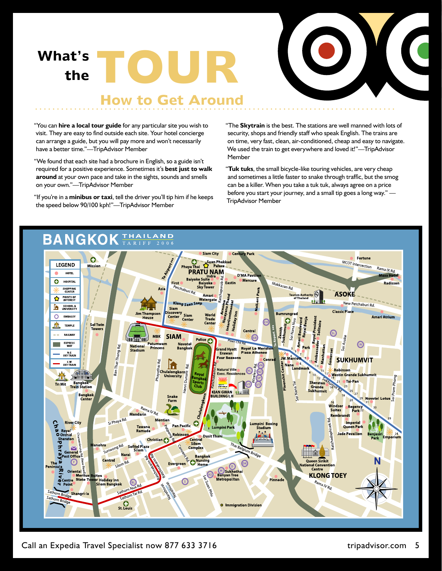**What's the TOUR** 



#### **How to Get Around**

"You can **hire a local tour guide** for any particular site you wish to visit. They are easy to find outside each site. Your hotel concierge can arrange a guide, but you will pay more and won't necessarily have a better time."—TripAdvisor Member

"We found that each site had a brochure in English, so a guide isn't required for a positive experience. Sometimes it's **best just to walk around** at your own pace and take in the sights, sounds and smells on your own."—TripAdvisor Member

"If you're in a **minibus or taxi**, tell the driver you'll tip him if he keeps the speed below 90/100 kph!"—TripAdvisor Member

"The **Skytrain** is the best. The stations are well manned with lots of security, shops and friendly staff who speak English. The trains are on time, very fast, clean, air-conditioned, cheap and easy to navigate. We used the train to get everywhere and loved it!"—TripAdvisor Member

"**Tuk tuks**, the small bicycle-like touring vehicles, are very cheap and sometimes a little faster to snake through traffic, but the smog can be a killer. When you take a tuk tuk, always agree on a price before you start your journey, and a small tip goes a long way." — TripAdvisor Member



Call an Expedia Travel Specialist now 877 633 3716 tripadvisor.com 5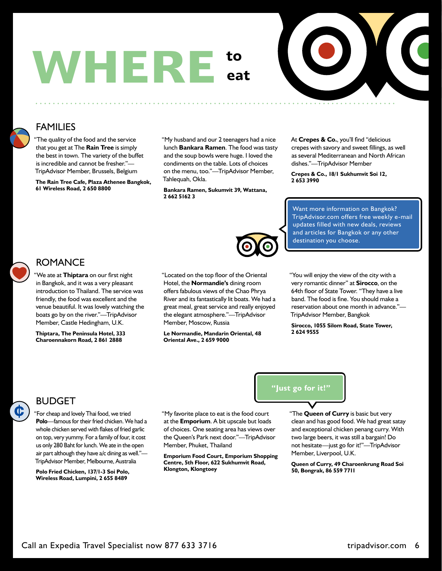



#### FAMILIES

"The quality of the food and the service that you get at The **Rain Tree** is simply the best in town. The variety of the buffet is incredible and cannot be fresher."— TripAdvisor Member, Brussels, Belgium

**The Rain Tree Cafe, Plaza Athenee Bangkok, 61 Wireless Road, 2 650 8800**

"My husband and our 2 teenagers had a nice lunch **Bankara Ramen**. The food was tasty and the soup bowls were huge. I loved the condiments on the table. Lots of choices on the menu, too."—TripAdvisor Member, Tahlequah, Okla.

**Bankara Ramen, Sukumvit 39, Wattana, 2 662 5162 3**

At **Crepes & Co.**, you'll find "delicious crepes with savory and sweet fillings, as well as several Mediterranean and North African dishes."—TripAdvisor Member

**Crepes & Co., 18/1 Sukhumvit Soi 12, 2 653 3990**

Want more information on Bangkok? TripAdvisor.com offers free weekly e-mail updates filled with new deals, reviews and articles for Bangkok or any other destination you choose.



 $\mathbf C$ 

#### ROMANCE

"We ate at **Thiptara** on our first night in Bangkok, and it was a very pleasant introduction to Thailand. The service was friendly, the food was excellent and the venue beautiful. It was lovely watching the boats go by on the river."—TripAdvisor Member, Castle Hedingham, U.K.

**Thiptara, The Peninsula Hotel, 333 Charoennakorn Road, 2 861 2888**

"Located on the top floor of the Oriental Hotel, the **Normandie's** dining room offers fabulous views of the Chao Phrya River and its fantastically lit boats. We had a great meal, great service and really enjoyed the elegant atmosphere."—TripAdvisor Member, Moscow, Russia

**Le Normandie, Mandarin Oriental, 48 Oriental Ave., 2 659 9000**

"You will enjoy the view of the city with a very romantic dinner" at **Sirocco**, on the 64th floor of State Tower. "They have a live band. The food is fine. You should make a reservation about one month in advance."— TripAdvisor Member, Bangkok

**Sirocco, 1055 Silom Road, State Tower, 2 624 9555**



"For cheap and lovely Thai food, we tried **Polo**—famous for their fried chicken. We had a whole chicken served with flakes of fried garlic on top, very yummy. For a family of four, it cost us only 280 Baht for lunch. We ate in the open air part although they have a/c dining as well."— TripAdvisor Member, Melbourne, Australia

**Polo Fried Chicken, 137/1-3 Soi Polo, Wireless Road, Lumpini, 2 655 8489**

"My favorite place to eat is the food court at the **Emporium**. A bit upscale but loads of choices. One seating area has views over the Queen's Park next door."—TripAdvisor Member, Phuket, Thailand

**Emporium Food Court, Emporium Shopping Centre, 5th Floor, 622 Sukhumvit Road, Klongton, Klongtoey**

"The **Queen of Curry** is basic but very clean and has good food. We had great satay and exceptional chicken penang curry. With two large beers, it was still a bargain! Do not hesitate—just go for it!"—TripAdvisor

**Queen of Curry, 49 Charoenkrung Road Soi 50, Bongrak, 86 559 7711**

Member, Liverpool, U.K.

**"Just go for it!"**

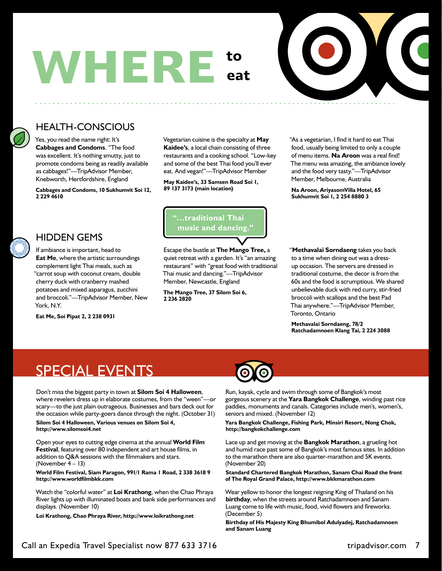



#### HEALTH-CONSCIOUS

Yes, you read the name right: It's **Cabbages and Condoms**. "The food was excellent. It's nothing smutty, just to promote condoms being as readily available as cabbages!"—TripAdvisor Member, Knebworth, Hertfordshire, England

**Cabbages and Condoms, 10 Sukhumvit Soi 12, 2 229 4610**

Vegetarian cuisine is the specialty at **May Kaidee's**, a local chain consisting of three restaurants and a cooking school. "Low-key and some of the best Thai food you'll ever eat. And vegan!"—TripAdvisor Member

**May Kaidee's, 33 Samsen Road Soi 1, 89 137 3173 (main location)**

#### HIDDEN GEMS

If ambiance is important, head to **Eat Me**, where the artistic surroundings complement light Thai meals, such as "carrot soup with coconut cream, double cherry duck with cranberry mashed potatoes and mixed asparagus, zucchini and broccoli."—TripAdvisor Member, New York, N.Y.

**Eat Me, Soi Pipat 2, 2 238 0931**



Escape the bustle at **The Mango Tree,** a quiet retreat with a garden. It's "an amazing restaurant" with "great food with traditional Thai music and dancing."—TripAdvisor Member, Newcastle, England

**The Mango Tree, 37 Silom Soi 6, 2 236 2820**

"As a vegetarian, I find it hard to eat Thai food, usually being limited to only a couple of menu items. **Na Aroon** was a real find! The menu was amazing, the ambiance lovely and the food very tasty."—TripAdvisor Member, Melbourne, Australia

**Na Aroon, AriyasomVilla Hotel, 65 Sukhumvit Soi 1, 2 254 8880 3**

"**Methavalai Sorndaeng** takes you back to a time when dining out was a dressup occasion. The servers are dressed in traditional costume, the decor is from the 60s and the food is scrumptious. We shared unbelievable duck with red curry, stir-fried broccoli with scallops and the best Pad Thai anywhere."—TripAdvisor Member, Toronto, Ontario

**Methavalai Sorndaeng, 78/2 Ratchadamnoen Klang Tai, 2 224 3088**

#### SPECIAL EVENTS

Don't miss the biggest party in town at **Silom Soi 4 Halloween**, where revelers dress up in elaborate costumes, from the "ween"scary—to the just plain outrageous. Businesses and bars deck out for the occasion while party-goers dance through the night. (October 31)

**Silom Soi 4 Halloween, Various venues on Silom Soi 4, http://www.silomsoi4.net**

Open your eyes to cutting edge cinema at the annual **World Film Festival**, featuring over 80 independent and art house films, in addition to Q&A sessions with the filmmakers and stars. (November  $4 - 13$ )

**World Film Festival, Siam Paragon, 991/1 Rama 1 Road, 2 338 3618 9 http://www.worldfilmbkk.com**

Watch the "colorful water" at **Loi Krathong**, when the Chao Phraya River lights up with illuminated boats and bank side performances and displays. (November 10)

**Loi Krathong, Chao Phraya River, http://www.loikrathong.net**



Run, kayak, cycle and swim through some of Bangkok's most gorgeous scenery at the **Yara Bangkok Challenge**, winding past rice paddies, monuments and canals. Categories include men's, women's, seniors and mixed. (November 12)

**Yara Bangkok Challenge, Fishing Park, Minsiri Resort, Nong Chok, http://bangkokchallenge.com**

Lace up and get moving at the **Bangkok Marathon**, a grueling hot and humid race past some of Bangkok's most famous sites. In addition to the marathon there are also quarter-marathon and 5K events. (November 20)

**Standard Chartered Bangkok Marathon, Sanam Chai Road the front of The Royal Grand Palace, http://www.bkkmarathon.com**

Wear yellow to honor the longest reigning King of Thailand on his **birthday**, when the streets around Ratchadamnoen and Sanam Luang come to life with music, food, vivid flowers and fireworks. (December 5)

**Birthday of His Majesty King Bhumibol Adulyadej, Ratchadamnoen and Sanam Luang**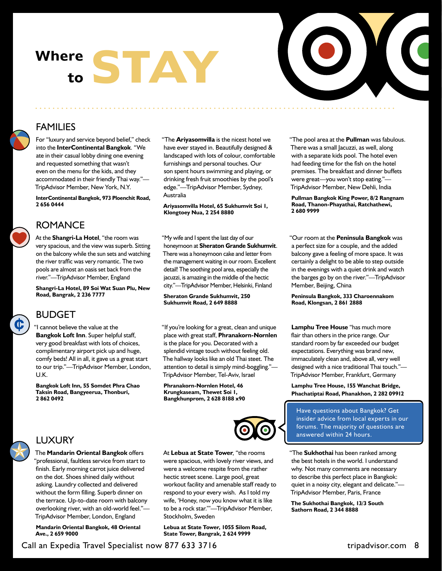## Where **STAY to**



"The pool area at the **Pullman** was fabulous. There was a small Jacuzzi, as well, along with a separate kids pool. The hotel even had feeding time for the fish on the hotel premises. The breakfast and dinner buffets were great—you won't stop eating."— TripAdvisor Member, New Dehli, India **Pullman Bangkok King Power, 8/2 Rangnam Road, Thanon-Phayathai, Ratchathewi,** 

"Our room at the **Peninsula Bangkok** was a perfect size for a couple, and the added balcony gave a feeling of more space. It was certainly a delight to be able to step outside in the evenings with a quiet drink and watch the barges go by on the river."—TripAdvisor

**2 680 9999**

#### FAMILIES

For "luxury and service beyond belief," check into the **InterContinental Bangkok**. "We ate in their casual lobby dining one evening and requested something that wasn't even on the menu for the kids, and they accommodated in their friendly Thai way."— TripAdvisor Member, New York, N.Y.

**InterContinental Bangkok, 973 Ploenchit Road, 2 656 0444**

#### ROMANCE

At the **Shangri-La Hotel**, "the room was very spacious, and the view was superb. Sitting on the balcony while the sun sets and watching the river traffic was very romantic. The two pools are almost an oasis set back from the river."—TripAdvisor Member, England

**Shangri-La Hotel, 89 Soi Wat Suan Plu, New Road, Bangrak, 2 236 7777** 

### $\mathbf \mathbb{C}$

#### BUDGET

"I cannot believe the value at the **Bangkok Loft Inn**. Super helpful staff, very good breakfast with lots of choices, complimentary airport pick up and huge, comfy beds! All in all, it gave us a great start to our trip."—TripAdvisor Member, London, U.K.

**Bangkok Loft Inn, 55 Somdet Phra Chao Taksin Road, Bangyeerua, Thonburi, 2 862 0492**

"The **Ariyasomvilla** is the nicest hotel we have ever stayed in. Beautifully designed & landscaped with lots of colour, comfortable furnishings and personal touches. Our son spent hours swimming and playing, or drinking fresh fruit smoothies by the pool's edge."—TripAdvisor Member, Sydney, Australia

**Ariyasomvilla Hotel, 65 Sukhumvit Soi 1, Klongtoey Nua, 2 254 8880**

"My wife and I spent the last day of our honeymoon at **Sheraton Grande Sukhumvit**. There was a honeymoon cake and letter from the management waiting in our room. Excellent detail! The soothing pool area, especially the jacuzzi, is amazing in the middle of the hectic city."—TripAdvisor Member, Helsinki, Finland

**Sheraton Grande Sukhumvit, 250 Sukhumvit Road, 2 649 8888**

"If you're looking for a great, clean and unique place with great staff, **Phranakorn-Nornlen** is the place for you. Decorated with a splendid vintage touch without feeling old. The hallway looks like an old Thai steet. The attention to detail is simply mind-boggling."— TripAdvisor Member, Tel-Aviv, Israel

**Phranakorn-Nornlen Hotel, 46 Krungkaseam, Thewet Soi 1, Bangkhunprom, 2 628 8188 x90**



**Phachatiptai Road, Phanakhon, 2 282 09912 Park Plaza Sukhumvit, 16 Rachadapisek Road, Klongtoey, 2 263 5000** Have questions about Bangkok? Get insider advice from local experts in our forums. The majority of questions are

**Lamphu Tree House** "has much more flair than others in the price range. Our standard room by far exceeded our budget expectations. Everything was brand new, immaculately clean and, above all, very well designed with a nice traditional Thai touch."— TripAdvisor Member, Frankfurt, Germany **Lamphu Tree House, 155 Wanchat Bridge,** 

**Peninsula Bangkok, 333 Charoennakom** 

Member, Beijing, China

**Road, Klongsan, 2 861 2888**

"The **Sukhothai** has been ranked among the best hotels in the world. I understand answered within 24 hours.

why. Not many comments are necessary to describe this perfect place in Bangkok: quiet in a noisy city, elegant and delicate."— TripAdvisor Member, Paris, France

**The Sukhothai Bangkok, 13/3 South Sathorn Road, 2 344 8888**

#### LUXURY

The **Mandarin Oriental Bangkok** offers "professional, faultless service from start to finish. Early morning carrot juice delivered on the dot. Shoes shined daily without asking. Laundry collected and delivered without the form filling. Superb dinner on the terrace. Up-to-date room with balcony overlooking river, with an old-world feel."— TripAdvisor Member, London, England

**Mandarin Oriental Bangkok, 48 Oriental Ave., 2 659 9000**

At **Lebua at State Tower**, "the rooms were spacious, with lovely river views, and were a welcome respite from the rather hectic street scene. Large pool, great workout facility and amenable staff ready to respond to your every wish. As I told my wife, 'Honey, now you know what it is like to be a rock star.'"—TripAdvisor Member, Stockholm, Sweden

**Lebua at State Tower, 1055 Silom Road, State Tower, Bangrak, 2 624 9999**

Call an Expedia Travel Specialist now 877 633 3716 tripadvisor.com 8